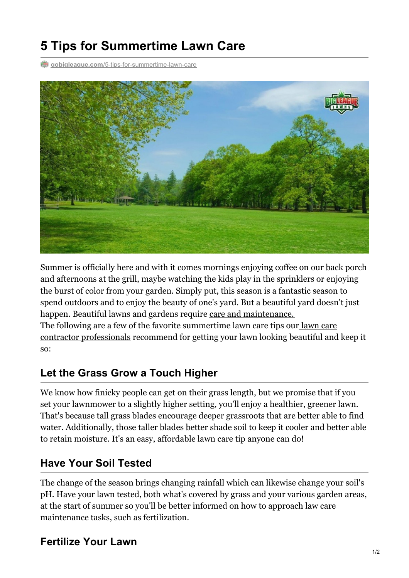# **5 Tips for Summertime Lawn Care**

**gobigleague.com**[/5-tips-for-summertime-lawn-care](https://gobigleague.com/5-tips-for-summertime-lawn-care/)



Summer is officially here and with it comes mornings enjoying coffee on our back porch and afternoons at the grill, maybe watching the kids play in the sprinklers or enjoying the burst of color from your garden. Simply put, this season is a fantastic season to spend outdoors and to enjoy the beauty of one's yard. But a beautiful yard doesn't just happen. Beautiful lawns and gardens require care and [maintenance.](https://gobigleague.com/big-league-lawn-care/) The following are a few of the favorite summertime lawn care tips our lawn care contractor [professionals](https://gobigleague.com/about-us/) recommend for getting your lawn looking beautiful and keep it so:

#### **Let the Grass Grow a Touch Higher**

We know how finicky people can get on their grass length, but we promise that if you set your lawnmower to a slightly higher setting, you'll enjoy a healthier, greener lawn. That's because tall grass blades encourage deeper grassroots that are better able to find water. Additionally, those taller blades better shade soil to keep it cooler and better able to retain moisture. It's an easy, affordable lawn care tip anyone can do!

#### **Have Your Soil Tested**

The change of the season brings changing rainfall which can likewise change your soil's pH. Have your lawn tested, both what's covered by grass and your various garden areas, at the start of summer so you'll be better informed on how to approach law care maintenance tasks, such as fertilization.

### **Fertilize Your Lawn**